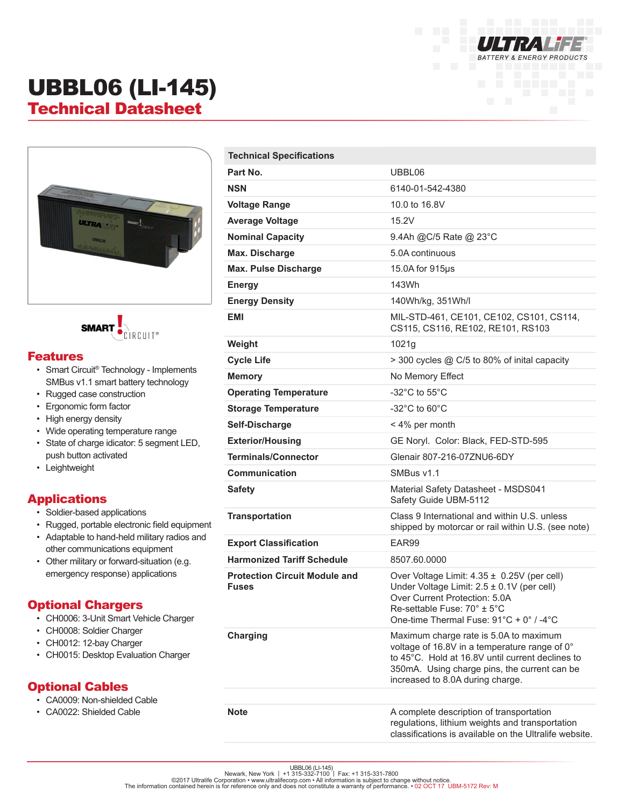

# UBBL06 (LI-145) Technical Datasheet





#### Features

- Smart Circuit® Technology Implements SMBus v1.1 smart battery technology
- Rugged case construction
- Ergonomic form factor
- High energy density
- Wide operating temperature range
- State of charge idicator: 5 segment LED, push button activated
- Leightweight

### Applications

- Soldier-based applications
- Rugged, portable electronic field equipment
- Adaptable to hand-held military radios and other communications equipment
- Other military or forward-situation (e.g. emergency response) applications

#### Optional Chargers

- CH0006: 3-Unit Smart Vehicle Charger
- CH0008: Soldier Charger
- CH0012: 12-bay Charger
- CH0015: Desktop Evaluation Charger

#### Optional Cables

- CA0009: Non-shielded Cable
- CA0022: Shielded Cable

| <b>Technical Specifications</b>                      |                                                                                                                                                                                                                                 |
|------------------------------------------------------|---------------------------------------------------------------------------------------------------------------------------------------------------------------------------------------------------------------------------------|
| Part No.                                             | UBBL06                                                                                                                                                                                                                          |
| <b>NSN</b>                                           | 6140-01-542-4380                                                                                                                                                                                                                |
| <b>Voltage Range</b>                                 | 10.0 to 16.8V                                                                                                                                                                                                                   |
| <b>Average Voltage</b>                               | 15.2V                                                                                                                                                                                                                           |
| <b>Nominal Capacity</b>                              | 9.4Ah @C/5 Rate @ 23°C                                                                                                                                                                                                          |
| Max. Discharge                                       | 5.0A continuous                                                                                                                                                                                                                 |
| <b>Max. Pulse Discharge</b>                          | 15.0A for 915µs                                                                                                                                                                                                                 |
| <b>Energy</b>                                        | 143Wh                                                                                                                                                                                                                           |
| <b>Energy Density</b>                                | 140Wh/kg, 351Wh/l                                                                                                                                                                                                               |
| EMI                                                  | MIL-STD-461, CE101, CE102, CS101, CS114,<br>CS115, CS116, RE102, RE101, RS103                                                                                                                                                   |
| Weight                                               | 1021g                                                                                                                                                                                                                           |
| <b>Cycle Life</b>                                    | > 300 cycles @ C/5 to 80% of inital capacity                                                                                                                                                                                    |
| <b>Memory</b>                                        | No Memory Effect                                                                                                                                                                                                                |
| <b>Operating Temperature</b>                         | -32 $^{\circ}$ C to 55 $^{\circ}$ C                                                                                                                                                                                             |
| <b>Storage Temperature</b>                           | -32 $^{\circ}$ C to 60 $^{\circ}$ C                                                                                                                                                                                             |
| Self-Discharge                                       | < 4% per month                                                                                                                                                                                                                  |
| <b>Exterior/Housing</b>                              | GE Noryl. Color: Black, FED-STD-595                                                                                                                                                                                             |
| <b>Terminals/Connector</b>                           | Glenair 807-216-07ZNU6-6DY                                                                                                                                                                                                      |
| Communication                                        | SMBus v1.1                                                                                                                                                                                                                      |
| <b>Safety</b>                                        | Material Safety Datasheet - MSDS041<br>Safety Guide UBM-5112                                                                                                                                                                    |
| <b>Transportation</b>                                | Class 9 International and within U.S. unless<br>shipped by motorcar or rail within U.S. (see note)                                                                                                                              |
| <b>Export Classification</b>                         | EAR99                                                                                                                                                                                                                           |
| <b>Harmonized Tariff Schedule</b>                    | 8507.60.0000                                                                                                                                                                                                                    |
| <b>Protection Circuit Module and</b><br><b>Fuses</b> | Over Voltage Limit: $4.35 \pm 0.25V$ (per cell)<br>Under Voltage Limit: $2.5 \pm 0.1V$ (per cell)<br>Over Current Protection: 5.0A<br>Re-settable Fuse: 70° ± 5°C<br>One-time Thermal Fuse: 91°C + 0° / -4°C                    |
| <b>Charging</b>                                      | Maximum charge rate is 5.0A to maximum<br>voltage of 16.8V in a temperature range of 0°<br>to 45°C. Hold at 16.8V until current declines to<br>350mA. Using charge pins, the current can be<br>increased to 8.0A during charge. |
|                                                      |                                                                                                                                                                                                                                 |
| <b>Note</b>                                          | A complete description of transportation<br>regulations, lithium weights and transportation<br>classifications is available on the Ultralife website.                                                                           |

UBBL06 (LI-145)<br>©2017 Ultralife Corporation • www.ultralifecorp.com • Newark, New York | +1 315-332-7100 | Fax: +1 315-331-7800<br>The information contained herein is for reference only and does not constitute a warranty of p